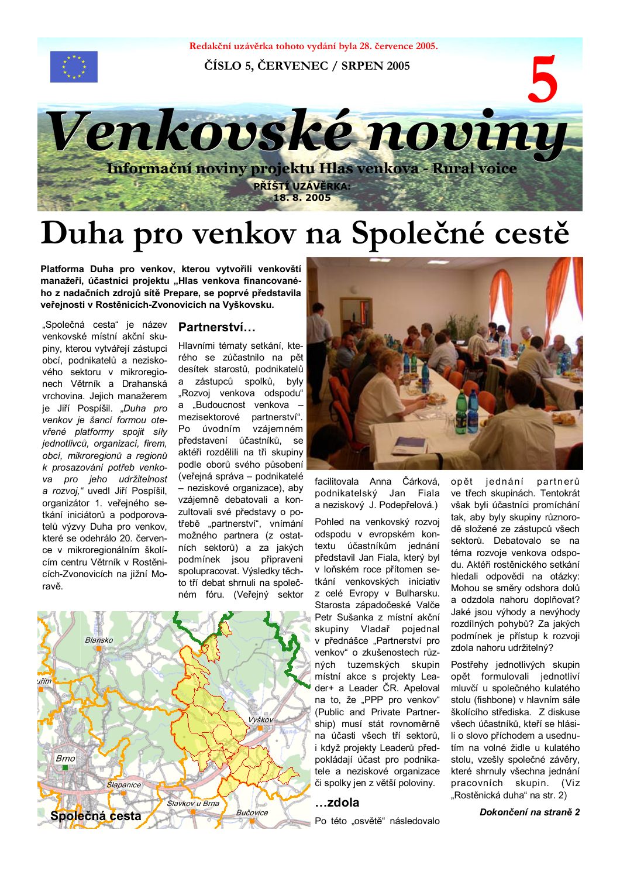

Redakční uzávěrka tohoto vydání byla 28. července 2005.

ČÍSLO 5, ČERVENEC / SRPEN 2005



# Duha pro venkov na Společné cestě

Platforma Duha pro venkov, kterou vytvořili venkovští manažeři, účastníci projektu "Hlas venkova financovaného z nadačních zdrojů sítě Prepare, se poprvé představila veřejnosti v Rostěnicích-Zvonovicích na Vyškovsku.

"Společná cesta" je název venkovské místní akční skupiny, kterou vytvářejí zástupci obcí, podnikatelů a neziskového sektoru v mikroregionech Větrník a Drahanská vrchovina. Jejich manažerem je Jiří Pospíšil. "Duha pro venkov je šancí formou otevřené platformy spojit síly jednotlivců, organizací, firem, obcí, mikroregionů a regionů k prosazování potřeb venkova pro jeho udržitelnost<br>a rozvoj," uvedl Jiří Pospíšil, organizátor 1. veřejného setkání iniciátorů a podporovatelů výzvy Duha pro venkov, které se odehrálo 20. července v mikroregionálním školícím centru Větrník v Rostěnicích-Zvonovicích na jižní Moravě.

#### Partnerství...

Hlavními tématy setkání, kterého se zúčastnilo na pět desítek starostů, podnikatelů zástupců spolků, byly a "Rozvoj venkova odspodu" a "Budoucnost venkova mezisektorové partnerství". Po úvodním vzájemném představení účastníků, se aktéři rozdělili na tři skupiny podle oborů svého působení (veřejná správa – podnikatelé - neziskové organizace), aby vzájemně debatovali a konzultovali své představy o potřebě "partnerství", vnímání možného partnera (z ostatních sektorů) a za jakých podmínek jsou připraveni spolupracovat. Výsledky těchto tří debat shrnuli na společném fóru. (Veřejný sektor





facilitovala Anna Čárková, podnikatelský Jan Fiala a neziskový J. Podepřelová.)

Pohled na venkovský rozvoj odspodu v evropském kontextu účastníkům jednání představil Jan Fiala, který byl v loňském roce přítomen setkání venkovských iniciativ z celé Evropy v Bulharsku. Starosta západočeské Valče Petr Sušanka z místní akční skupiny Vladař pojednal v přednášce "Partnerství pro venkov" o zkušenostech různých tuzemských skupin místní akce s projekty Leader+ a Leader ČR. Apeloval na to, že "PPP pro venkov" (Public and Private Partnership) musí stát rovnoměrně na účasti všech tří sektorů. i když projekty Leaderů předpokládají účast pro podnikatele a neziskové organizace či spolky jen z větší poloviny.

#### ...zdola

Po této "osvětě" následovalo

partnerů jednání opět ve třech skupinách. Tentokrát však byli účastníci promíchání tak, aby byly skupiny různorodě složené ze zástupců všech sektorů. Debatovalo se na téma rozvoie venkova odspodu. Aktéři rostěnického setkání hledali odpovědi na otázky: Mohou se směry odshora dolů a odzdola nahoru doplňovat? Jaké jsou výhody a nevýhody rozdílných pohybů? Za jakých podmínek je přístup k rozvoji zdola nahoru udržitelný?

Postřehy jednotlivých skupin opět formulovali jednotliví mluvčí u společného kulatého stolu (fishbone) v hlavním sále školícího střediska. Z diskuse všech účastníků, kteří se hlásili o slovo příchodem a usednutím na volné židle u kulatého stolu, vzešly společné závěry, které shrnuly všechna jednání pracovních skupin. (Viz "Rostěnická duha" na str. 2)

Dokončení na straně 2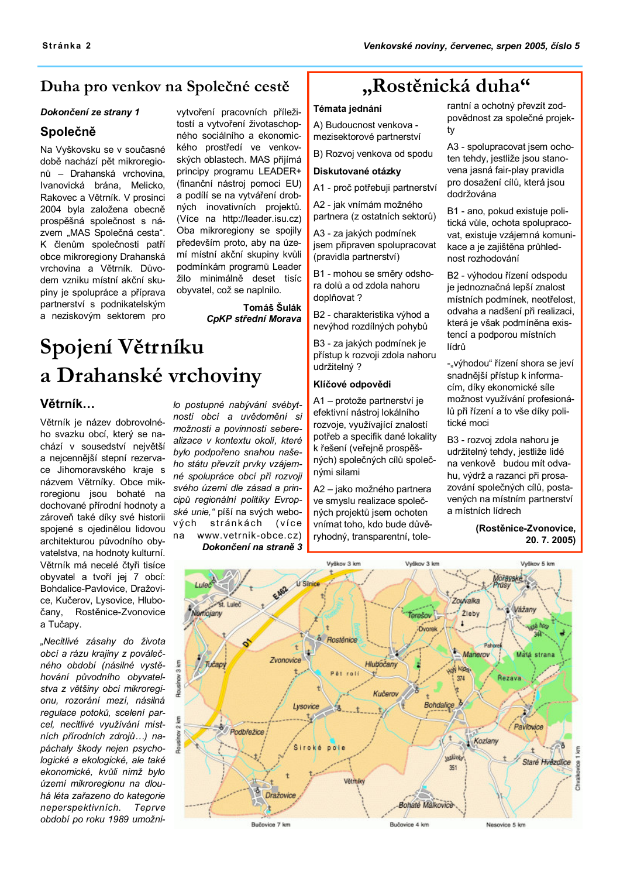#### Duha pro venkov na Společné cestě

#### Dokončení ze strany 1

#### Společně

Na Vyškovsku se v současné době nachází pět mikroregionů – Drahanská vrchovina. Ivanovická brána. Melicko. Rakovec a Větrník. V prosinci 2004 byla založena obecně prospěšná společnost s názvem "MAS Společná cesta". K členům společnosti patří obce mikroregiony Drahanská vrchovina a Větrník. Důvodem vzniku místní akční skupiny je spolupráce a příprava partnerství s podnikatelským a neziskovým sektorem pro

vytvoření pracovních příležitostí a vytvoření životaschopného sociálního a ekonomického prostředí ve venkovských oblastech. MAS přijímá principy programu LEADER+ (finanční nástroj pomoci EU) a podílí se na vytváření drobných inovativních projektů. (Více na http://leader.isu.cz) Oba mikroregiony se spojily především proto, aby na území místní akční skupiny kvůli podmínkám programů Leader žilo minimálně deset tisíc obyvatel, což se naplnilo.

> Tomáš Šulák CpKP střední Morava

### Spojení Větrníku a Drahanské vrchoviny

#### Větrník...

Větrník je název dobrovolného svazku obcí, který se nachází v sousedství největší a nejcennější stepní rezervace Jihomoravského kraje s názvem Větrníky. Obce mikroregionu jsou bohaté na dochované přírodní hodnoty a zároveň také díky své historii spojené s ojedinělou lidovou architekturou původního obyvatelstva, na hodnoty kulturní. Větrník má necelé čtvři tisíce obyvatel a tvoří jej 7 obcí: Bohdalice-Pavlovice, Dražovice. Kučerov. Lysovice. Hlubo-Rostěnice-Zvonovice čany, a Tučapy.

"Necitlivé zásahy do života obcí a rázu krajiny z poválečného období (násilné vystěhování původního obyvatelstva z většiny obcí mikroregionu, rozorání mezí, násilná regulace potoků, scelení parcel, necitlivé využívání místních přírodních zdrojů...) napáchaly škody neien psychologické a ekologické, ale také ekonomické, kvůli nimž bylo území mikroregionu na dlouhá léta zařazeno do kategorie neperspektivních. Teprve období po roku 1989 umožni-

lo postupné nabývání svébytnosti obcí a uvědomění si možnosti a povinnosti seberealizace v kontextu okolí, které bylo podpořeno snahou našeho státu převzít prvky vzájemné spolupráce obcí při rozvoji svého území dle zásad a principů regionální politiky Evropské unie." píší na svých webových stránkách (více www.vetrnik-obce.cz) na

Dokončení na straně 3

### "Rostěnická duha"

#### Témata jednání

A) Budoucnost venkova mezisektorové partnerství

B) Rozvoj venkova od spodu

#### Diskutované otázky

A1 - proč potřebují partnerství

A2 - jak vnímám možného partnera (z ostatních sektorů)

A3 - za jakých podmínek jsem připraven spolupracovat (pravidla partnerství)

B1 - mohou se směrv odshora dolů a od zdola nahoru doplňovat?

B2 - charakteristika výhod a nevýhod rozdílných pohybů

B3 - za jakých podmínek je přístup k rozvoji zdola nahoru udržitelný?

#### Klíčové odpovědi

A1 - protože partnerství je efektivní nástroj lokálního rozvoje, využívající znalostí potřeb a specifik dané lokality k řešení (veřejně prospěšných) společných cílů společnými silami

A2 - jako možného partnera ve smyslu realizace společných projektů jsem ochoten vnímat toho, kdo bude důvěryhodný, transparentní, tolerantní a ochotný převzít zodpovědnost za společné projektv

A3 - spolupracovat isem ochoten tehdy, jestliže jsou stanovena jasná fair-plav pravidla pro dosažení cílů, která jsou dodržována

B1 - ano. pokud existuie politická vůle, ochota spolupracovat, existuje vzájemná komunikace a je zajištěna průhlednost rozhodování

B2 - výhodou řízení odspodu je jednoznačná lepší znalost místních podmínek, neotřelost, odvaha a nadšení při realizaci, která je však podmíněna existencí a podporou místních lídrů

-"výhodou" řízení shora se jeví snadnější přístup k informacím, díky ekonomické síle možnost využívání profesionálů při řízení a to vše díky politické moci

B3 - rozvoj zdola nahoru je udržitelný tehdy, jestliže lidé na venkově budou mít odvahu. výdrž a razanci při prosazování společných cílů, postavených na místním partnerství a místních lídrech

> (Rostěnice-Zvonovice. 20.7.2005)

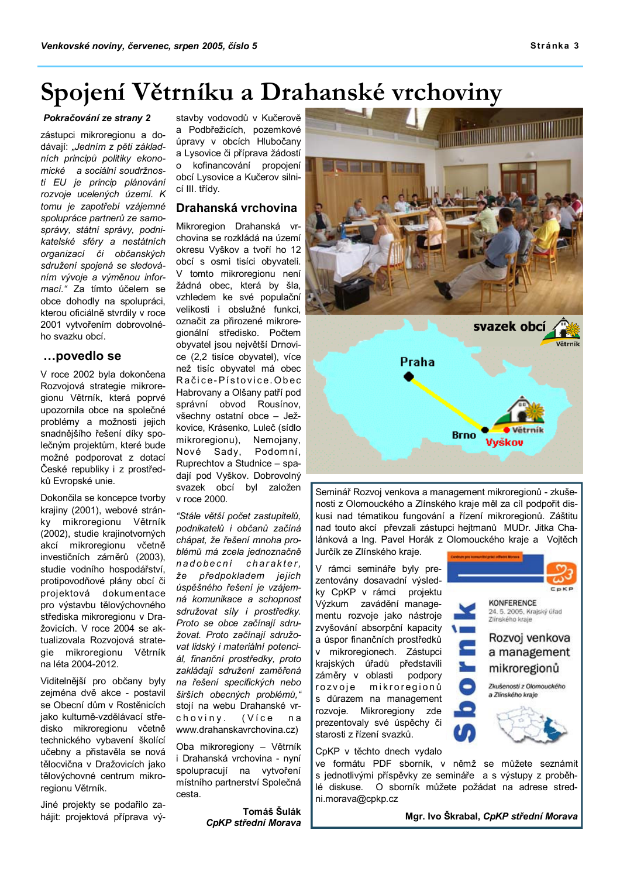#### Stránka 3

### Spojení Větrníku a Drahanské vrchoviny

#### Pokračování ze strany 2

zástupci mikroregionu a dodávají: "Jedním z pěti základních principů politiky ekonomické a sociální soudržnosti EU je princip plánování rozvoje ucelených území. K tomu je zapotřebí vzájemné spolupráce partnerů ze samosprávy, státní správy, podnikatelské sféry a nestátních organizací či občanských sdružení spojená se sledováním vývoje a výměnou informací." Za tímto účelem se obce dohodly na spolupráci, kterou oficiálně stvrdily v roce 2001 vytvořením dobrovolného svazku obcí.

#### ...povedlo se

V roce 2002 byla dokončena Rozvojová strategie mikroregionu Větrník, která poprvé upozornila obce na společné problémy a možnosti jejich snadnějšího řešení díky společným projektům, které bude možné podporovat z dotací České republiky i z prostředků Evropské unie.

Dokončila se koncepce tvorby krajiny (2001), webové stránky mikroregionu Větrník (2002), studie krajinotvorných akcí mikroregionu včetně investičních záměrů (2003), studie vodního hospodářství. protipovodňové plány obcí či projektová dokumentace pro výstavbu tělovýchovného střediska mikroregionu v Dražovicích. V roce 2004 se aktualizovala Rozvojová strategie mikroregionu Větrník na léta 2004-2012.

Viditelnější pro občany byly zeiména dvě akce - postavil se Obecní dům v Rostěnicích jako kulturně-vzdělávací středisko mikroregionu včetně technického vybavení školící učebny a přistavěla se nová tělocvična v Dražovicích jako tělovýchovné centrum mikroregionu Větrník.

Jiné projekty se podařilo zahájit: projektová příprava výstavby vodovodů v Kučerově a Podbřežicích, pozemkové úpravy v obcích Hlubočany a Lysovice či příprava žádostí o kofinancování propojení obcí Lysovice a Kučerov silnicí III. třídv.

#### Drahanská vrchovina

Mikroregion Drahanská vrchovina se rozkládá na území okresu Vyškov a tvoří ho 12 obcí s osmi tisíci obyvateli. V tomto mikroregionu není žádná obec, která by šla, vzhledem ke své populační velikosti i obslužné funkci, označit za přirozené mikroregionální středisko. Počtem obyvatel jsou největší Drnovice (2,2 tisíce obyvatel), více než tisíc obyvatel má obec Račice-Pístovice.Obec Habrovany a Olšany patří pod správní obvod Rousínov, všechny ostatní obce - Ježkovice, Krásenko, Luleč (sídlo mikroregionu), Nemojany, Nové Sady, Podomní, Ruprechtov a Studnice - spadaií pod Vyškov. Dobrovolný svazek obcí byl založen v roce 2000.

"Stále větší počet zastupitelů, podnikatelů i občanů začíná chápat, že řešení mnoha problémů má zcela jednoznačně nadobecní charakter. že předpokladem jejich úspěšného řešení je vzájemná komunikace a schopnost sdružovat sílv i prostředky. Proto se obce začínají sdružovat. Proto začínají sdružovat lidský i materiální potenciál. finanční prostředky, proto zakládají sdružení zaměřená na řešení specifických nebo širších obecných problémů," stoií na webu Drahanské vrchoviny. (Více n a www.drahanskavrchovina.cz)

Oba mikroregiony - Větrník i Drahanská vrchovina - nvní spolupracují na vytvoření místního partnerství Společná cesta.

> Tomáš Šulák CpKP střední Morava



Seminář Rozvoj venkova a management mikroregionů - zkušenosti z Olomouckého a Zlínského kraje měl za cíl podpořit diskusi nad tématikou fungování a řízení mikroregionů. Záštitu nad touto akcí převzali zástupci hejtmanů MUDr. Jitka Chalánková a Ing. Pavel Horák z Olomouckého kraje a Vojtěch Jurčík ze Zlínského kraje.

V rámci semináře byly prezentovány dosavadní výsledky CpKP v rámci projektu Výzkum zavádění managementu rozvoje jako nástroje zvvšování absorpční kapacity a úspor finančních prostředků v mikroregionech. Zástupci krajských úřadů představili záměry v oblasti podpory rozvoje mikroregionů s důrazem na management rozvoje. Mikroregiony zde prezentovaly své úspěchy či starosti z řízení svazků.

CpKP v těchto dnech vydalo

ve formátu PDF sborník, v němž se můžete seznámit s jednotlivými příspěvky ze semináře a s výstupy z proběhlé diskuse. O sborník můžete požádat na adrese stredni.morava@cpkp.cz

ô

Mgr. Ivo Škrabal, CpKP střední Morava

**KONFERENCE** 

Zlínského kraje

24. 5. 2005, Krajský úřad

Rozvoj venkova

a management

mikroregionů

Zkušenosti z Olomouckého

a Zlínského kraje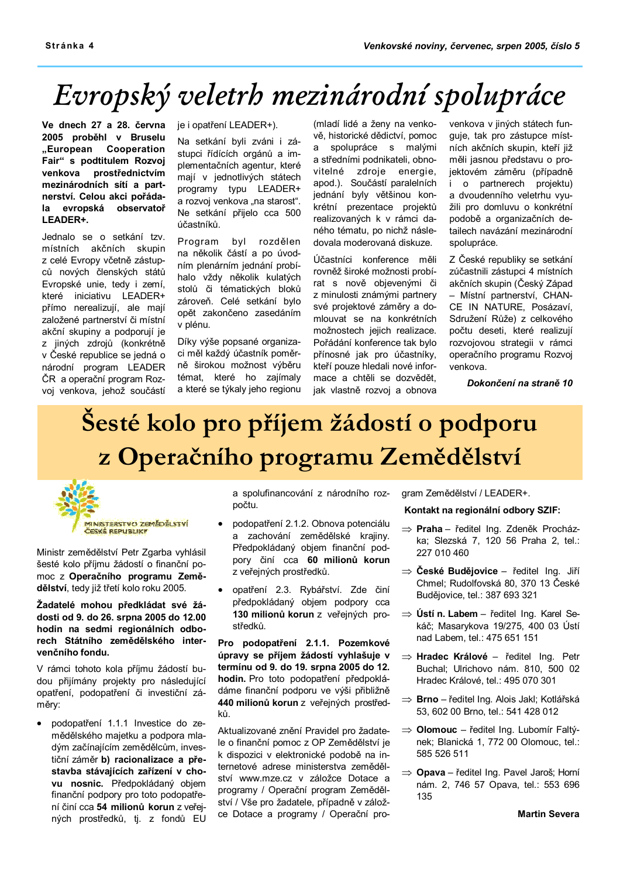# Evropský veletrh mezinárodní spolupráce

Ve dnech 27 a 28. června 2005 proběhl v Bruselu "European Cooperation Fair" s podtitulem Rozvoj venkova prostřednictvím mezinárodních sítí a partnerství. Celou akci pořádala evropská observatoř LEADER+.

Jednalo se o setkání tzv. místních akčních skupin z celé Evropy včetně zástupců nových členských států Evropské unie, tedy i zemí. které iniciativu LEADER+ přímo nerealizují, ale mají založené partnerství či místní akční skupiny a podporují je z jiných zdrojů (konkrétně v České republice se jedná o národní program LEADER ČR a operační program Rozvoj venkova, jehož součástí

je i opatření LEADER+).

Na setkání byli zváni i zástupci řídících orgánů a implementačních agentur, které mají v jednotlivých státech programy typu LEADER+ a rozvoj venkova "na starost". Ne setkání přijelo cca 500 účastníků.

Program byl rozdělen na několik částí a po úvodním plenárním jednání probíhalo vždy několik kulatých stolů či tématických bloků zároveň. Celé setkání bylo opět zakončeno zasedáním v plénu.

Díky výše popsané organizaci měl každý účastník poměrně širokou možnost výběru témat, které ho zajímaly a které se týkaly jeho regionu

(mladí lidé a ženy na venkově, historické dědictví, pomoc a spolupráce s malými a středními podnikateli, obnovitelné zdroje energie, apod.). Součástí paralelních jednání byly většinou konkrétní prezentace projektů realizovaných k v rámci daného tématu, po nichž následovala moderovaná diskuze.

Účastníci konference měli rovněž široké možnosti probírat s nově objevenými či z minulosti známými partnery své projektové záměry a domlouvat se na konkrétních možnostech jejich realizace. Pořádání konference tak bylo přínosné jak pro účastníky, kteří pouze hledali nové informace a chtěli se dozvědět. jak vlastně rozvoj a obnova venkova v jiných státech funguje, tak pro zástupce místních akčních skupin, kteří již měli jasnou představu o projektovém záměru (případně i o partnerech projektu) a dvoudenního veletrhu využili pro domluvu o konkrétní podobě a organizačních detailech navázání mezinárodní spolupráce.

Z České republiky se setkání zúčastnili zástupci 4 místních akčních skupin (Český Západ - Místní partnerství, CHAN-CE IN NATURE, Posázaví, Sdružení Růže) z celkového počtu deseti. které realizuií rozvojovou strategii v rámci operačního programu Rozvoj venkova.

Dokončení na straně 10

# Šesté kolo pro příjem žádostí o podporu z Operačního programu Zemědělství



Ministr zemědělství Petr Zgarba vyhlásil šesté kolo příjmu žádostí o finanční pomoc z Operačního programu Zemědělství, tedy již třetí kolo roku 2005.

#### Žadatelé mohou předkládat své žádosti od 9. do 26. srpna 2005 do 12.00 hodin na sedmi regionálních odborech Státního zemědělského intervenčního fondu.

V rámci tohoto kola příjmu žádostí budou přijímány projekty pro následující opatření, podopatření či investiční záměry:

podopatření 1.1.1 Investice do zemědělského majetku a podpora mladým začínajícím zemědělcům, investiční záměr b) racionalizace a přestavba stávajících zařízení v chovu nosnic. Předpokládaný objem finanční podpory pro toto podopatření činí cca 54 milionů korun z veřejných prostředků, tj. z fondů EU

a spolufinancování z národního rozpočtu.

- podopatření 2.1.2. Obnova potenciálu a zachování zemědělské krajiny. Předpokládaný objem finanční podpory činí cca 60 milionů korun z veřejných prostředků.
- opatření 2.3. Rybářství. Zde činí  $\bullet$ předpokládaný obiem podpory cca 130 milionů korun z veřejných prostředků.

Pro podopatření 2.1.1. Pozemkové úpravy se příjem žádostí vyhlašuje v termínu od 9. do 19. srpna 2005 do 12. hodin. Pro toto podopatření předpokládáme finanční podporu ve výši přibližně 440 milionů korun z veřejných prostřed-

Aktualizované znění Pravidel pro žadatele o finanční pomoc z OP Zemědělství je k dispozici v elektronické podobě na internetové adrese ministerstva zemědělství www.mze.cz v záložce Dotace a programy / Operační program Zemědělství / Vše pro žadatele, případně v záložce Dotace a programy / Operační program Zemědělství / LEADER+.

#### Kontakt na regionální odbory SZIF:

- $\Rightarrow$  Praha ředitel Ing. Zdeněk Procházka; Slezská 7, 120 56 Praha 2, tel.: 227 010 460
- $\Rightarrow$  České Budějovice ředitel Ing. Jiří Chmel; Rudolfovská 80, 370 13 České Budějovice, tel.: 387 693 321
- $\Rightarrow$  Ústí n. Labem ředitel Ing. Karel Sekáč; Masarykova 19/275, 400 03 Ústí nad Labem, tel.: 475 651 151
- $\Rightarrow$  Hradec Králové ředitel Ing. Petr Buchal; Ulrichovo nám. 810, 500 02 Hradec Králové, tel.: 495 070 301
- $\Rightarrow$  Brno ředitel Ing. Alois Jakl; Kotlářská 53, 602 00 Brno. tel.: 541 428 012
- $\Rightarrow$  Olomouc ředitel Ing. Lubomír Faltýnek; Blanická 1, 772 00 Olomouc, tel.: 585 526 511
- $\Rightarrow$  Opava ředitel Ing. Pavel Jaroš: Horní nám. 2, 746 57 Opava, tel.: 553 696 135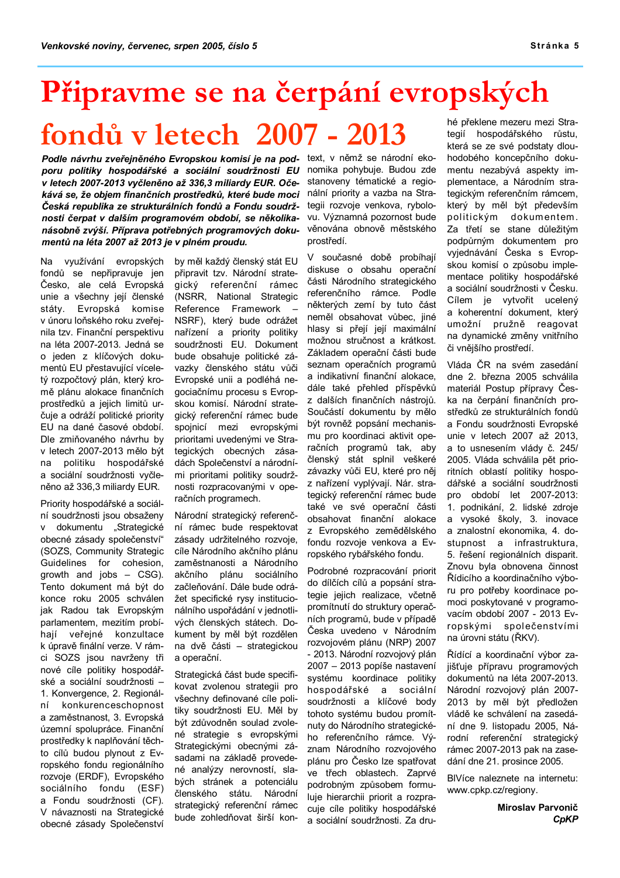# Připravme se na čerpání evropských

# fondů v letech 2007 - 2013

Podle návrhu zveřejněného Evropskou komisí je na pod- text, v němž se národní ekoporu politiky hospodářské a sociální soudržnosti EU v letech 2007-2013 vyčleněno až 336.3 miliardy EUR. Očekává se, že objem finančních prostředků, které bude moci Česká republika ze strukturálních fondů a Fondu soudržnosti čerpat v dalším programovém období, se několikanásobně zvýší. Příprava potřebných programových dokumentů na léta 2007 až 2013 je v plném proudu.

Na využívání evropských fondů se nepřipravuje jen Česko, ale celá Evropská unie a všechny její členské státy. Evropská komise v únoru loňského roku zveřejnila tzv. Finanční perspektivu na léta 2007-2013. Jedná se o jeden z klíčových dokumentů EU přestavující víceletý rozpočtový plán, který kromě plánu alokace finančních prostředků a jejich limitů určuje a odráží politické priority EU na dané časové období. Dle zmiňovaného návrhu by v letech 2007-2013 mělo být na politiku hospodářské a sociální soudržnosti vyčleněno až 336,3 miliardy EUR.

Priority hospodářské a sociální soudržnosti jsou obsaženy dokumentu "Strategické  $\mathsf{V}$ obecné zásady společenství" (SOZS, Community Strategic Guidelines for cohesion. growth and jobs - CSG). Tento dokument má být do konce roku 2005 schválen jak Radou tak Evropským parlamentem, mezitím probíhaií veřeiné konzultace k úpravě finální verze. V rámci SOZS jsou navrženy tři nové cíle politiky hospodářské a sociální soudržnosti -1. Konvergence, 2. Regionálkonkurenceschopnost ní a zaměstnanost, 3. Evropská územní spolupráce. Finanční prostředky k naplňování těchto cílů budou plynout z Evropského fondu regionálního rozvoje (ERDF), Evropského sociálního fondu (ESF) a Fondu soudržnosti (CF). V návaznosti na Strategické obecné zásady Společenství

by měl každý členský stát FU připravit tzv. Národní strategický referenční rámec (NSRR, National Strategic Reference Framework NSRF), který bude odrážet nařízení a priority politiky soudržnosti EU. Dokument bude obsahuje politické závazky členského státu vůči Evropské unii a podléhá negociačnímu procesu s Evropskou komisí. Národní strategický referenční rámec bude spojnicí mezi evropskými prioritami uvedenými ve Strategických obecných zásadách Společenství a národními prioritami politiky soudržnosti rozpracovanými v operačních programech.

Národní strategický referenční rámec bude respektovat zásady udržitelného rozvoje, cíle Národního akčního plánu zaměstnanosti a Národního akčního plánu sociálního začleňování. Dále bude odrážet specifické rysy institucionálního uspořádání v jednotlivých členských státech. Dokument by měl být rozdělen na dvě části – strategickou a operační.

Strategická část bude specifikovat zvolenou strategii pro všechny definované cíle politiky soudržnosti EU. Měl by být zdůvodněn soulad zvolené strategie s evropskými Strategickými obecnými zásadami na základě provedené analýzy nerovností, slabých stránek a potenciálu členského státu. Národní strategický referenční rámec bude zohledňovat širší konnomika pohybuje. Budou zde stanoveny tématické a regionální priority a vazba na Strategii rozvoje venkova, rybolovu. Významná pozornost bude věnována obnově městského prostředí.

V současné době probíhají diskuse o obsahu operační části Národního strategického referenčního rámce. Podle některých zemí by tuto část neměl obsahovat vůbec, jiné hlasy si přejí její maximální možnou stručnost a krátkost. Základem operační části bude seznam operačních programů a indikativní finanční alokace, dále také přehled příspěvků z dalších finančních nástrojů. Součástí dokumentu by mělo být rovněž popsání mechanismu pro koordinaci aktivit operačních programů tak, aby členský stát splnil veškeré závazky vůči EU, které pro něj z nařízení vyplývají. Nár. strategický referenční rámec bude také ve své operační části obsahovat finanční alokace z Evropského zemědělského fondu rozvoje venkova a Evropského rybářského fondu.

Podrobné rozpracování priorit do dílčích cílů a popsání strategie jejich realizace, včetně promítnutí do struktury operačních programů, bude v případě Česka uvedeno v Národním rozvojovém plánu (NRP) 2007 - 2013. Národní rozvojový plán 2007 - 2013 popíše nastavení systému koordinace politiky hospodářské a sociální soudržnosti a klíčové body tohoto systému budou promítnuty do Národního strategického referenčního rámce. Význam Národního rozvojového plánu pro Česko lze spatřovat ve třech oblastech. Zaprvé podrobným způsobem formuluie hierarchii priorit a rozpracuje cíle politiky hospodářské a sociální soudržnosti. Za druhé překlene mezeru mezi Strategií hospodářského růstu, která se ze své podstaty dlouhodobého koncepčního dokumentu nezabývá aspekty implementace, a Národním strategickým referenčním rámcem. který by měl být především politickým dokumentem. Za třetí se stane důležitým podpůrným dokumentem pro vyjednávání Česka s Evropskou komisí o způsobu implementace politiky hospodářské a sociální soudržnosti v Česku. Cílem je vytvořit ucelený a koherentní dokument, který umožní pružně reagovat na dynamické změny vnitřního či vnějšího prostředí.

Vláda ČR na svém zasedání dne 2. března 2005 schválila materiál Postup přípravy Česka na čerpání finančních prostředků ze strukturálních fondů a Fondu soudržnosti Evropské unie v letech 2007 až 2013, a to usnesením vlády č. 245/ 2005. Vláda schválila pět prioritních oblastí politiky hospodářské a sociální soudržnosti pro období let 2007-2013: 1. podnikání, 2. lidské zdroje a vysoké školy, 3. inovace a znalostní ekonomika, 4. dostupnost a infrastruktura, 5. řešení regionálních disparit. Znovu byla obnovena činnost Řídicího a koordinačního výboru pro potřeby koordinace pomoci poskytované v programovacím období 2007 - 2013 Evropskými společenstvími na úrovni státu (ŘKV).

Řídící a koordinační výbor zajišťuje přípravu programových dokumentů na léta 2007-2013. Národní rozvojový plán 2007-2013 by měl být předložen vládě ke schválení na zasedání dne 9. listopadu 2005. Národní referenční strategický rámec 2007-2013 pak na zasedání dne 21. prosince 2005.

BIVíce naleznete na internetu: www.cpkp.cz/regiony.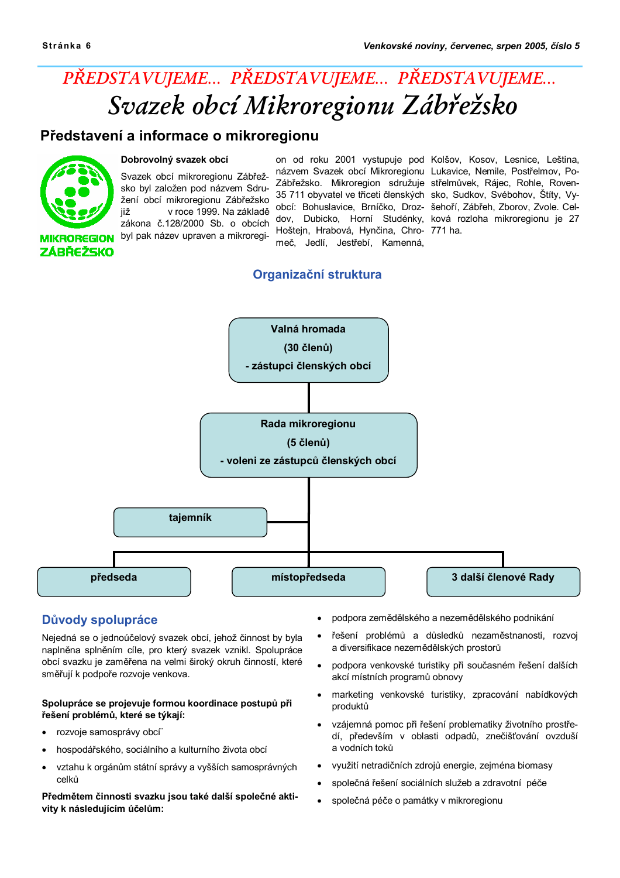## PŘEDSTAVUJEME... PŘEDSTAVUJEME... PŘEDSTAVUJEME... Svazek obcí Mikroregionu Zábřežsko

#### Představení a informace o mikroregionu



#### Dobrovolný svazek obcí

Svazek obcí mikroregionu Zábřežsko byl založen pod názvem Sdružení obcí mikroregionu Zábřežsko v roce 1999. Na základě iiž zákona č.128/2000 Sb. o obcích byl pak název upraven a mikroregi-

Hoštejn, Hrabová, Hynčina, Chro- 771 ha. meč, Jedlí, Jestřebí, Kamenná,

on od roku 2001 vystupuje pod Kolšov, Kosov, Lesnice, Leština, názvem Svazek obcí Mikroregionu Lukavice, Nemile, Postřelmov, Po-Zábřežsko. Mikroregion sdružuje střelmůvek, Rájec, Rohle, Roven-35 711 obyvatel ve třiceti členských sko, Sudkov, Svébohov, Štíty, Vyobcí: Bohuslavice, Brníčko, Droz- šehoří, Zábřeh, Zborov, Zvole. Celdov, Dubicko, Horní Studénky, ková rozloha mikroregionu je 27

#### Organizační struktura



#### Důvody spolupráce

Nejedná se o jednoúčelový svazek obcí, jehož činnost by byla naplněna splněním cíle, pro který svazek vznikl. Spolupráce obcí svazku je zaměřena na velmi široký okruh činností, které směřují k podpoře rozvoje venkova.

#### Spolupráce se projevuje formou koordinace postupů při řešení problémů, které se týkají:

- rozvoje samosprávy obcí
- hospodářského, sociálního a kulturního života obcí
- vztahu k orgánům státní správy a vyšších samosprávných celků

Předmětem činnosti svazku jsou také další společné aktivity k následujícím účelům:

- podpora zemědělského a nezemědělského podnikání
- řešení problémů a důsledků nezaměstnanosti, rozvoj a diversifikace nezemědělských prostorů
- podpora venkovské turistiky při současném řešení dalších akcí místních programů obnovy
- marketing venkovské turistiky, zpracování nabídkových produktů
- vzájemná pomoc při řešení problematiky životního prostředí, především v oblasti odpadů, znečišťování ovzduší a vodních toků
- využití netradičních zdrojů energie, zejména biomasy
- společná řešení sociálních služeb a zdravotní péče
- společná péče o památky v mikroregionu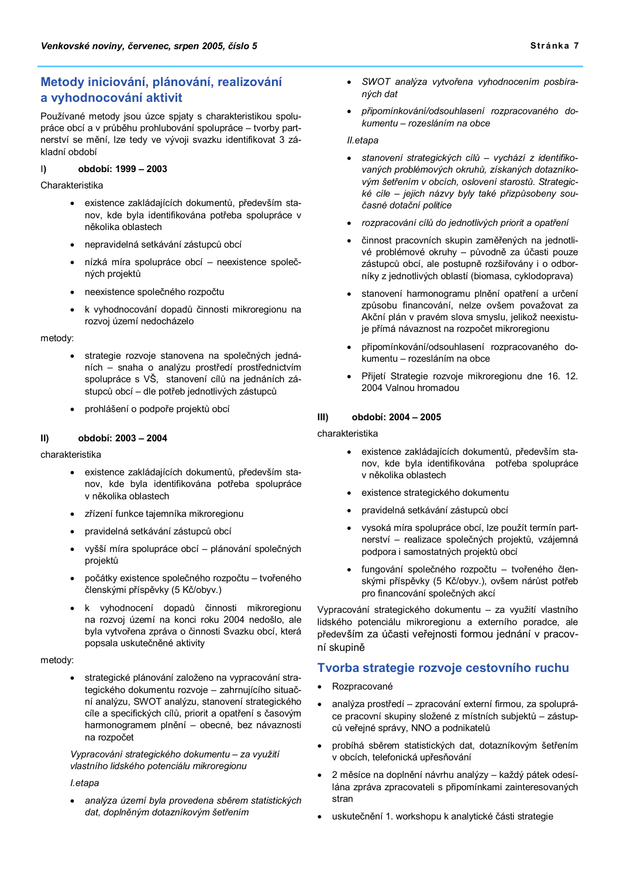#### Metody iniciování, plánování, realizování a vyhodnocování aktivit

Používané metody jsou úzce spjaty s charakteristikou spolupráce obcí a v průběhu prohlubování spolupráce - tvorby partnerství se mění, lze tedy ve vývoji svazku identifikovat 3 základní období

#### $\vert$ období: 1999 - 2003

Charakteristika

- · existence zakládajících dokumentů, především stanov, kde byla identifikována potřeba spolupráce v několika oblastech
- · nepravidelná setkávání zástupců obcí
- nízká míra spolupráce obcí neexistence společných projektů
- neexistence společného rozpočtu
- k vyhodnocování dopadů činnosti mikroregionu na rozvoj území nedocházelo

#### metody:

- strategie rozvoje stanovena na společných jednáních - snaha o analýzu prostředí prostřednictvím spolupráce s VŠ, stanovení cílů na jednáních zástupců obcí - dle potřeb jednotlivých zástupců
- · prohlášení o podpoře projektů obcí

#### $\vert$ II) období: 2003 - 2004

charakteristika

- existence zakládajících dokumentů, především stanov, kde byla identifikována potřeba spolupráce v několika oblastech
- zřízení funkce tajemníka mikroregionu
- pravidelná setkávání zástupců obcí
- vyšší míra spolupráce obcí plánování společných projektů
- · počátky existence společného rozpočtu tvořeného členskými příspěvky (5 Kč/obyv.)
- k vyhodnocení dopadů činnosti mikroregionu na rozvoj území na konci roku 2004 nedošlo, ale byla vytvořena zpráva o činnosti Svazku obcí, která popsala uskutečněné aktivity

#### metody:

strategické plánování založeno na vypracování strategického dokumentu rozvoje – zahrnujícího situační analýzu, SWOT analýzu, stanovení strategického cíle a specifických cílů, priorit a opatření s časovým harmonogramem plnění - obecné, bez návaznosti na rozpočet

Vypracování strategického dokumentu - za využití vlastního lidského potenciálu mikroregionu

#### l.etapa

analýza území byla provedena sběrem statistických dat, doplněným dotazníkovým šetřením

- SWOT analýza vytvořena vyhodnocením posbíraných dat
- připomínkování/odsouhlasení rozpracovaného dokumentu - rozesláním na obce

#### II.etapa

- stanovení strategických cílů vychází z identifikovaných problémových okruhů, získaných dotazníkovým šetřením v obcích, oslovení starostů, Strategické cíle – jejich názvy byly také přizpůsobeny současné dotační politice
- rozpracování cílů do jednotlivých priorit a opatření
- činnost pracovních skupin zaměřených na jednotlivé problémové okruhy - původně za účasti pouze zástupců obcí, ale postupně rozšiřovány i o odborníky z jednotlivých oblastí (biomasa, cyklodoprava)
- stanovení harmonogramu plnění opatření a určení způsobu financování, nelze ovšem považovat za Akční plán v pravém slova smyslu, jelikož neexistuje přímá návaznost na rozpočet mikroregionu
- připomínkování/odsouhlasení rozpracovaného dokumentu - rozesláním na obce
- Přijetí Strategie rozvoje mikroregionu dne 16. 12. 2004 Valnou hromadou

#### období: 2004 - 2005  $III)$

#### charakteristika

- existence zakládajících dokumentů, především sta- $\bullet$ nov, kde byla identifikována potřeba spolupráce v několika oblastech
- existence strategického dokumentu
- pravidelná setkávání zástupců obcí
- vysoká míra spolupráce obcí, lze použít termín partnerství - realizace společných projektů, vzájemná podpora i samostatných projektů obcí
- fungování společného rozpočtu tvořeného členskými příspěvky (5 Kč/obyv.), ovšem nárůst potřeb pro financování společných akcí

Vypracování strategického dokumentu - za využití vlastního lidského potenciálu mikroregionu a externího poradce, ale především za účasti veřejnosti formou jednání v pracovní skupině

#### Tvorba strategie rozvoje cestovního ruchu

- Rozpracované  $\bullet$
- analýza prostředí zpracování externí firmou, za spoluprá- $\bullet$ ce pracovní skupiny složené z místních subiektů – zástupců veřejné správy. NNO a podnikatelů
- probíhá sběrem statistických dat, dotazníkovým šetřením v obcích, telefonická upřesňování
- 2 měsíce na doplnění návrhu analýzy každý pátek odesílána zpráva zpracovateli s připomínkami zainteresovaných stran
- uskutečnění 1. workshopu k analytické části strategie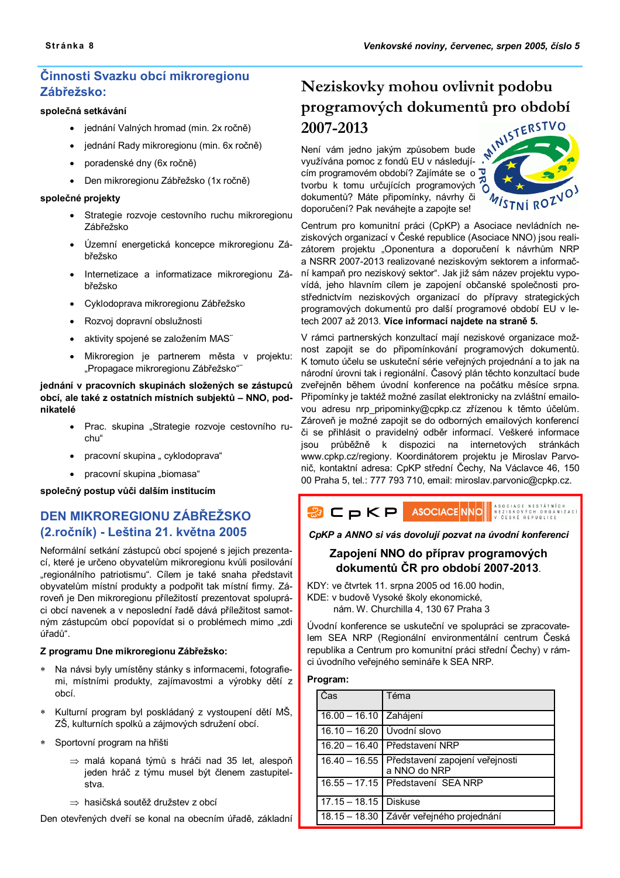#### Činnosti Svazku obcí mikroregionu Zábřežsko:

#### společná setkávání

- · jednání Valných hromad (min. 2x ročně)
- · jednání Rady mikroregionu (min. 6x ročně)
- poradenské dny (6x ročně)
- · Den mikroregionu Zábřežsko (1x ročně)

#### společné projekty

- Strategie rozvoje cestovního ruchu mikroregionu  $\bullet$ Zábřežsko
- Územní energetická koncepce mikroregionu Záhřežsko
- Internetizace a informatizace mikroregionu Zábřežsko
- Cyklodoprava mikroregionu Zábřežsko
- Rozvoj dopravní obslužnosti
- aktivity spojené se založením MAS"
- Mikroregion je partnerem města v projektu: "Propagace mikroregionu Zábřežsko"

#### jednání v pracovních skupinách složených se zástupců obcí, ale také z ostatních místních subjektů - NNO, podnikatelé

- · Prac. skupina "Strategie rozvoje cestovního ruchu"
- pracovní skupina " cyklodoprava"
- pracovní skupina "biomasa"

#### společný postup vůči dalším institucím

#### DEN MIKROREGIONU ZÁBŘEŽSKO (2.ročník) - Leština 21. května 2005

Neformální setkání zástupců obcí spojené s jejich prezentací, které je určeno obyvatelům mikroregionu kvůli posilování "regionálního patriotismu". Cílem je také snaha představit obyvatelům místní produkty a podpořit tak místní firmy. Zároveň je Den mikroregionu příležitostí prezentovat spolupráci obcí navenek a v neposlední řadě dává příležitost samotným zástupcům obcí popovídat si o problémech mimo "zdi úřadů".

#### Z programu Dne mikroregionu Zábřežsko:

- Na návsi byly umístěny stánky s informacemi, fotografiemi, místními produkty, zajímavostmi a výrobky dětí z ohcí
- Kulturní program byl poskládaný z vystoupení dětí MŠ, ZŠ, kulturních spolků a zájmových sdružení obcí.
- \* Sportovní program na hřišti
	- $\Rightarrow$  malá kopaná týmů s hráči nad 35 let, alespoň jeden hráč z týmu musel být členem zastupitelstva
	- ⇒ hasičská soutěž družstev z obcí

Den otevřených dveří se konal na obecním úřadě, základní

# Neziskovky mohou ovlivnit podobu programových dokumentů pro období

Není vám jedno jakým způsobem bude<br>využívána pomoc z fondů EU v následují cím programovém období? Zajímáte se o tvorbu k tomu určujících programových dokumentů? Máte připomínky, návrhy či doporučení? Pak neváhejte a zapojte se!



Centrum pro komunitní práci (CpKP) a Asociace nevládních neziskových organizací v České republice (Asociace NNO) jsou realizátorem projektu "Oponentura a doporučení k návrhům NRP a NSRR 2007-2013 realizované neziskovým sektorem a informační kampaň pro neziskový sektor". Jak již sám název projektu vypovídá, jeho hlavním cílem je zapojení občanské společnosti prostřednictvím neziskových organizací do přípravy strategických programových dokumentů pro další programové období EU v letech 2007 až 2013. Více informací naidete na straně 5.

V rámci partnerských konzultací mají neziskové organizace možnost zapojit se do připomínkování programových dokumentů. K tomuto účelu se uskuteční série veřejných projednání a to jak na národní úrovni tak i regionální. Časový plán těchto konzultací bude zveřejněn během úvodní konference na počátku měsíce srpna. Připomínky je taktéž možné zasílat elektronicky na zvláštní emailovou adresu nrp pripominky@cpkp.cz zřízenou k těmto účelům. Zároveň je možné zapojit se do odborných emailových konferencí či se přihlásit o pravidelný odběr informací. Veškeré informace jsou průběžně k dispozici na internetových stránkách www.cpkp.cz/regiony. Koordinátorem projektu je Miroslav Parvonič, kontaktní adresa: CpKP střední Čechy, Na Václavce 46, 150 00 Praha 5, tel.: 777 793 710, email: miroslav.parvonic@cpkp.cz.



CDKP a ANNO si vás dovolují pozvat na úvodní konferenci

#### Zapojení NNO do příprav programových dokumentů ČR pro období 2007-2013.

KDY: ve čtvrtek 11. srpna 2005 od 16.00 hodin, KDE: v budově Vysoké školy ekonomické, nám. W. Churchilla 4, 130 67 Praha 3

Úvodní konference se uskuteční ve spolupráci se zpracovatelem SEA NRP (Regionální environmentální centrum Česká republika a Centrum pro komunitní práci střední Čechy) v rámci úvodního veřejného semináře k SEA NRP.

#### Program:

| Čas                        | Téma                                                          |
|----------------------------|---------------------------------------------------------------|
| 16.00 - 16.10 Zahájení     |                                                               |
| 16.10 - 16.20 Úvodní slovo |                                                               |
|                            | 16.20 – 16.40 Představení NRP                                 |
|                            | 16.40 - 16.55 Představení zapojení veřejnosti<br>a NNO do NRP |
|                            | 16.55 - 17.15 Představení SEA NRP                             |
| 17.15 - 18.15   Diskuse    |                                                               |
|                            | 18.15 - 18.30 Závěr veřejného projednání                      |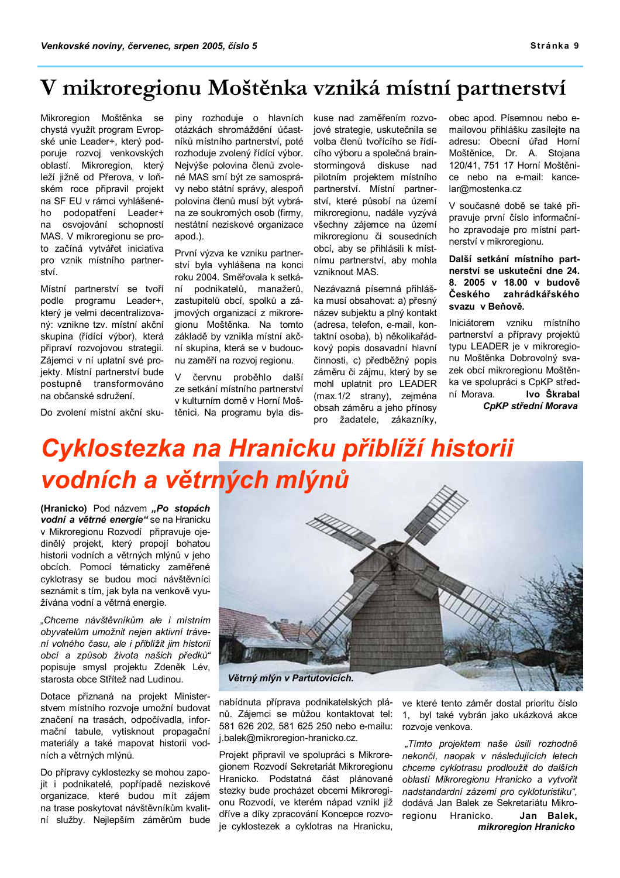### V mikroregionu Moštěnka vzniká místní partnerství

Mikroregion Moštěnka se chystá využít program Evropské unie Leader+, který podporuje rozvoj venkovských oblastí. Mikroregion, který leží jižně od Přerova, v loňském roce připravil projekt na SF EU v rámci vyhlášeného podopatření Leader+ na osvojování schopností MAS. V mikroregionu se proto začíná vytvářet iniciativa pro vznik místního partnerství.

Místní partnerství se tvoří podle programu Leader+, který je velmi decentralizovaný: vznikne tzv. místní akční skupina (řídící výbor), která připraví rozvojovou strategii. Zájemci v ní uplatní své projekty. Místní partnerství bude postupně transformováno na občanské sdružení.

piny rozhoduje o hlavních otázkách shromáždění účastníků místního partnerství, poté rozhoduje zvolený řídící výbor. Nejvýše polovina členů zvolené MAS smí být ze samosprávy nebo státní správy, alespoň polovina členů musí být vybrána ze soukromých osob (firmy. nestátní neziskové organizace apod.).

První výzva ke vzniku partnerství byla vyhlášena na konci roku 2004. Směřovala k setkání podnikatelů, manažerů, zastupitelů obcí, spolků a zájmových organizací z mikroregionu Moštěnka. Na tomto základě by vznikla místní akční skupina, která se v budoucnu zaměří na rozvoj regionu.

 $\mathsf{V}$ červnu proběhlo další ze setkání místního partnerství v kulturním domě v Horní Moštěnici. Na programu byla diskuse nad zaměřením rozvojové strategie, uskutečnila se volba členů tvořícího se řídícího výboru a společná brainstormingová diskuse nad pilotním projektem místního partnerství. Místní partnerství, které působí na území mikroregionu, nadále vyzývá všechny zájemce na území mikroregionu či sousedních obcí, aby se přihlásili k místnímu partnerství, aby mohla vzniknout MAS.

Nezávazná písemná přihláška musí obsahovať: a) přesný název subjektu a plný kontakt (adresa, telefon, e-mail, kontaktní osoba), b) několikařádkový popis dosavadní hlavní činnosti, c) předběžný popis záměru či zájmu, který by se mohl uplatnit pro LEADER (max.1/2 strany), zejména obsah záměru a jeho přínosy pro žadatele, zákazníky, obec apod. Písemnou nebo emailovou přihlášku zasílejte na adresu: Obecní úřad Horní Moštěnice, Dr. A. Stojana 120/41, 751 17 Horní Moštěnice nebo na e-mail: kancelar@mostenka.cz

V současné době se také připravuje první číslo informačního zpravodaje pro místní partnerství v mikroregionu.

Další setkání místního partnerství se uskuteční dne 24. 8. 2005 v 18.00 v budově Českého zahrádkářského svazu v Beňově.

Iniciátorem vzniku místního partnerství a přípravy projektů typu LEADER je v mikroregionu Moštěnka Dobrovolný svazek obcí mikroregionu Moštěnka ve spolupráci s CpKP střední Morava. Ivo Škrabal CpKP střední Morava

Do zvolení místní akční sku-

# Cyklostezka na Hranicku přiblíží historii vodních a větrných mlýnů

(Hranicko) Pod názvem "Po stopách vodní a větrné energie" se na Hranicku v Mikroregionu Rozvodí připravuje ojedinělý projekt, který propojí bohatou historii vodních a větrných mlýnů v jeho obcích. Pomocí tématicky zaměřené cyklotrasy se budou moci návštěvníci seznámit s tím, jak byla na venkově využívána vodní a větrná energie.

"Chceme návštěvníkům ale i místním obyvatelům umožnit nejen aktivní trávení volného času, ale i přiblížit jim historii obcí a způsob života našich předků" popisuje smysl projektu Zdeněk Lév, starosta obce Střítež nad Ludinou.

Dotace přiznaná na projekt Ministerstvem místního rozvoje umožní budovat značení na trasách, odpočívadla, informační tabule, vytisknout propagační materiály a také mapovat historii vodních a větrných mlýnů.

Do přípravy cyklostezky se mohou zapojit i podnikatelé, popřípadě neziskové organizace. které budou mít zájem na trase poskytovat návštěvníkům kvalitní služby. Nejlepším záměrům bude



nabídnuta příprava podnikatelských plánů. Zájemci se můžou kontaktovat tel: 581 626 202, 581 625 250 nebo e-mailu: i.balek@mikroregion-hranicko.cz.

Projekt připravil ve spolupráci s Mikroregionem Rozvodí Sekretariát Mikroregionu Hranicko. Podstatná část plánované stezky bude procházet obcemi Mikroregionu Rozvodí, ve kterém nápad vznikl již dříve a díky zpracování Koncepce rozvoje cyklostezek a cyklotras na Hranicku,

ve které tento záměr dostal prioritu číslo 1, byl také vybrán jako ukázková akce rozvoje venkova.

"Tímto projektem naše úsilí rozhodně nekončí, naopak v následujících letech chceme cyklotrasu prodloužit do dalších oblastí Mikroregionu Hranicko a vytvořit nadstandardní zázemí pro cykloturistiku", dodává Jan Balek ze Sekretariátu Mikroregionu Hranicko. Jan Balek, mikroregion Hranicko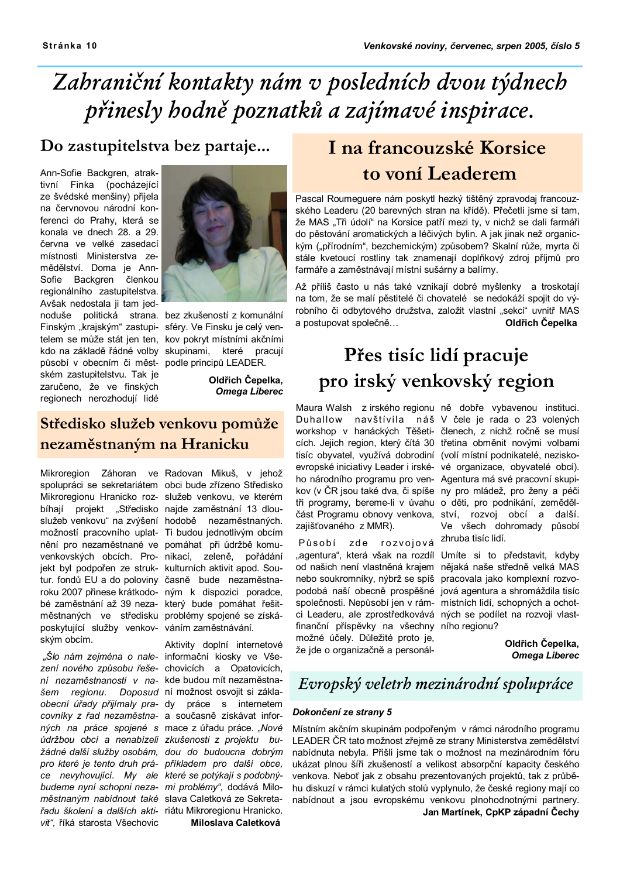# Zabraniční kontakty nám v posledních dvou týdnech přinesly hodně poznatků a zajímavé inspirace.

### Do zastupitelstva bez partaje...

Ann-Sofie Backgren, atraktivní Finka (pocházející ze švédské menšiny) přijela na červnovou národní konferenci do Prahy, která se konala ve dnech 28, a 29. června ve velké zasedací místnosti Ministerstva zemědělství. Doma je Ann-Sofie Backgren členkou regionálního zastupitelstva. Avšak nedostala ji tam jednoduše politická strana. bez zkušeností z komunální Finským "krajským" zastupi- sféry. Ve Finsku je celý ventelem se může stát jen ten, kov pokryt místními akčními kdo na základě řádné volby skupinami. které pracují působí v obecním či měst- podle principů LEADER. ském zastupitelstvu. Tak je zaručeno, že ve finských regionech nerozhodují lidé



Oldřich Čepelka, **Omega Liberec** 

### Středisko služeb venkovu pomůže nezaměstnaným na Hranicku

Mikroregion Záhoran ve Radovan Mikuš, v jehož spolupráci se sekretariátem obci bude zřízeno Středisko Mikroregionu Hranicko roz- služeb venkovu, ve kterém bíhaií projekt "Středisko najde zaměstnání 13 dlouslužeb venkovu" na zvýšení hodobě nezaměstnaných. možností pracovního uplat- Ti budou jednotlivým obcím nění pro nezaměstnané ve pomáhat při údržbě komuvenkovských obcích. Pro- nikací, zeleně, pořádání jekt byl podpořen ze struk- kulturních aktivit apod. Soutur. fondů EU a do poloviny časně bude nezaměstnaroku 2007 přinese krátkodo- ným k dispozici poradce, bé zaměstnání až 39 neza- který bude pomáhat řešitměstnaných ve středisku problémy spojené se získáposkytující služby venkov- váním zaměstnávání. ským obcím.

"Šlo nám zejména o nale- informační kiosky ve Všezení nového způsobu řeše- chovicích a Opatovicích, ní nezaměstnanosti v na- kde budou mít nezaměstnašem regionu. Doposud ní možnost osvojit si záklaobecní úřady přijímaly pra- dy práce s internetem covníky z řad nezaměstna- a současně získávat inforných na práce spojené s mace z úřadu práce. "Nové údržbou obcí a nenabízeli zkušenosti z projektu bužádné další služby osobám, dou do budoucna dobrým pro které je tento druh prá- příkladem pro další obce. ce nevyhovující. My ale které se potýkají s podobnýbudeme nyní schopni neza- mi problémy", dodává Miloměstnaným nabídnout také slava Caletková ze Sekretařadu školení a dalších akti- riátu Mikroregionu Hranicko. viť". říká starosta Všechovic

Aktivity doplní internetové Miloslava Caletková

### I na francouzské Korsice to voní Leaderem

Pascal Roumeguere nám poskytl hezký tištěný zpravodaj francouzského Leaderu (20 barevných stran na křídě). Přečetli jsme si tam, že MAS "Tři údolí" na Korsice patří mezi ty, v nichž se dali farmáři do pěstování aromatických a léčivých bylin. A jak jinak než organickým ("přírodním", bezchemickým) způsobem? Skalní růže, myrta či stále kvetoucí rostliny tak znamenají doplňkový zdroj příjmů pro farmáře a zaměstnávají místní sušárny a balírny.

Až příliš často u nás také vznikají dobré myšlenky a troskotají na tom, že se malí pěstitelé či chovatelé se nedokáží spojit do výrobního či odbytového družstva, založit vlastní "sekci" uvnitř MAS Oldřich Čepelka a postupovat společně...

### Přes tisíc lidí pracuje pro irský venkovský region

Maura Walsh z irského regionu ně dobře vybavenou instituci. zajišťovaného z MMR).

Působí zde rozvojová zhruba tisíc lidí. "agentura", která však na rozdíl Umíte si to představit, kdyby od našich není vlastněná krajem nějaká naše středně velká MAS nebo soukromníky, nýbrž se spíš pracovala jako komplexní rozvopodobá naší obecně prospěšné jová agentura a shromáždila tisíc společnosti. Nepůsobí jen v rám- místních lidí, schopných a ochotci Leaderu, ale zprostředkovává ných se podílet na rozvoji vlastfinanční příspěvky na všechny ního regionu? možné účely. Důležité proto je, že jde o organizačně a personál-

Duhallow navštívila náš V čele je rada o 23 volených workshop v hanáckých Těšeti- členech, z nichž ročně se musí cích. Jejich region, který čítá 30 třetina obměnit novými volbami tisíc obyvatel, využívá dobrodiní (volí místní podnikatelé, neziskoevropské iniciativy Leader i irské- vé organizace, obyvatelé obcí). ho národního programu pro ven- Agentura má své pracovní skupikov (v ČR jsou také dva, či spíše ny pro mládež, pro ženy a péči tři programy, bereme-li v úvahu o děti, pro podnikání, zemědělčást Programu obnovy venkova, ství, rozvoj obcí a další. Ve všech dohromady působí

Oldřich Čepelka, **Omega Liberec** 

### Evropský veletrh mezinárodní spolupráce

#### Dokončení ze strany 5

Místním akčním skupinám podpořeným v rámci národního programu LEADER ČR tato možnost zřejmě ze strany Ministerstva zemědělství nabídnuta nebyla. Přišli jsme tak o možnost na mezinárodním fóru ukázat plnou šíři zkušeností a velikost absorpční kapacity českého venkova. Neboť jak z obsahu prezentovaných projektů, tak z průběhu diskuzí v rámci kulatých stolů vyplynulo, že české regiony mají co nabídnout a jsou evropskému venkovu plnohodnotnými partnery. Jan Martínek, CpKP západní Čechy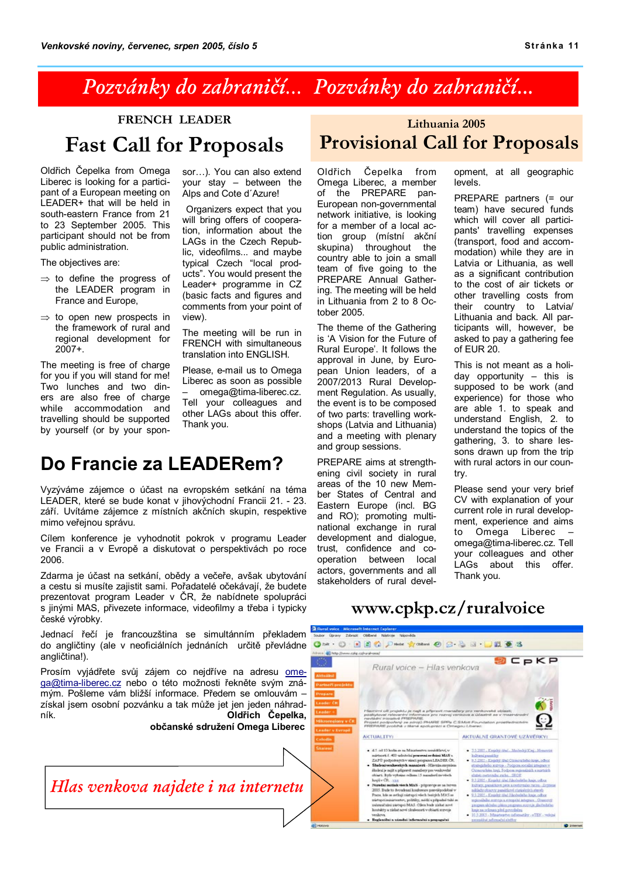### Pozvánky do zahraničí... Pozvánky do zahraničí...

### **FRENCH LEADER Fast Call for Proposals**

Oldřich Čepelka from Omega Liberec is looking for a participant of a European meeting on LEADER+ that will be held in south-eastern France from 21 to 23 September 2005. This participant should not be from public administration.

The objectives are:

- $\Rightarrow$  to define the progress of the LEADER program in France and Europe,
- $\Rightarrow$  to open new prospects in the framework of rural and regional development for  $2007+$

The meeting is free of charge for you if you will stand for me! Two lunches and two diners are also free of charge while accommodation and travelling should be supported by yourself (or by your sponsor...). You can also extend your stay - between the Alps and Cote d'Azure!

Organizers expect that you will bring offers of cooperation, information about the LAGs in the Czech Republic, videofilms... and maybe<br>typical Czech "local products". You would present the Leader+ programme in CZ (basic facts and figures and comments from your point of view).

The meeting will be run in FRENCH with simultaneous translation into ENGLISH.

Please, e-mail us to Omega Liberec as soon as possible omega@tima-liberec.cz. Tell your colleagues and other LAGs about this offer. Thank you.

### Do Francie za LEADERem?

Vyzýváme zájemce o účast na evropském setkání na téma LEADER, které se bude konat v jihovýchodní Francii 21. - 23. září. Uvítáme zájemce z místních akčních skupin, respektive mimo veřejnou správu.

Cílem konference je vyhodnotit pokrok v programu Leader ve Francii a v Evropě a diskutovat o perspektivách po roce 2006.

Zdarma je účast na setkání, obědy a večeře, avšak ubytování a cestu si musíte zajistit sami. Pořadatelé očekávají, že budete prezentovat program Leader v ČR, že nabídnete spolupráci s jinými MAS, přivezete informace, videofilmy a třeba i typicky české výrobky.

Jednací řečí je francouzština se simultánním překladem do angličtiny (ale v neoficiálních jednáních určitě převládne Om + 0 BBC Due dom @ 8-8 B - BBBS angličtina!).

Prosím vyjádřete svůj zájem co nejdříve na adresu ome-ga@tima-liberec.cz nebo o této možnosti řekněte svým známým. Pošleme vám bližší informace. Předem se omlouvám získal jsem osobní pozvánku a tak může jet jen jeden náhrad-Oldřich Čepelka, ník

občanské sdružení Omega Liberec

### Hlas venkova najdete i na internetu

### Lithuania 2005 **Provisional Call for Proposals**

Oldřich Čepelka from Omega Liberec, a member of the PREPARE pan-European non-governmental network initiative, is looking for a member of a local action group (místní akční skupina) throughout the country able to join a small team of five going to the PREPARE Annual Gathering. The meeting will be held in Lithuania from 2 to 8 October 2005.

The theme of the Gathering is 'A Vision for the Future of Rural Europe'. It follows the approval in June, by European Union leaders, of a 2007/2013 Rural Development Regulation. As usually. the event is to be composed of two parts: travelling workshops (Latvia and Lithuania) and a meeting with plenary and group sessions.

PREPARE aims at strengthening civil society in rural areas of the 10 new Member States of Central and Eastern Europe (incl. BG and RO); promoting multinational exchange in rural development and dialogue, trust, confidence and cooperation between local actors, governments and all stakeholders of rural development, at all geographic levels.

PREPARE partners (= our team) have secured funds which will cover all participants' travelling expenses (transport, food and accommodation) while they are in Latvia or Lithuania, as well as a significant contribution to the cost of air tickets or other travelling costs from their country to Latvia/ Lithuania and back. All participants will, however, be asked to pay a gathering fee of  $FUB 20$ 

This is not meant as a holiday opportunity  $-$  this is supposed to be work (and experience) for those who are able 1. to speak and understand English, 2. to understand the topics of the gathering, 3. to share lessons drawn up from the trip with rural actors in our countrv.

Please send your very brief CV with explanation of your current role in rural development. experience and aims to Omega Liberec omega@tima-liberec.cz. Tell your colleagues and other LAGs about this offer. Thank you.

### www.cpkp.cz/ruralvoice